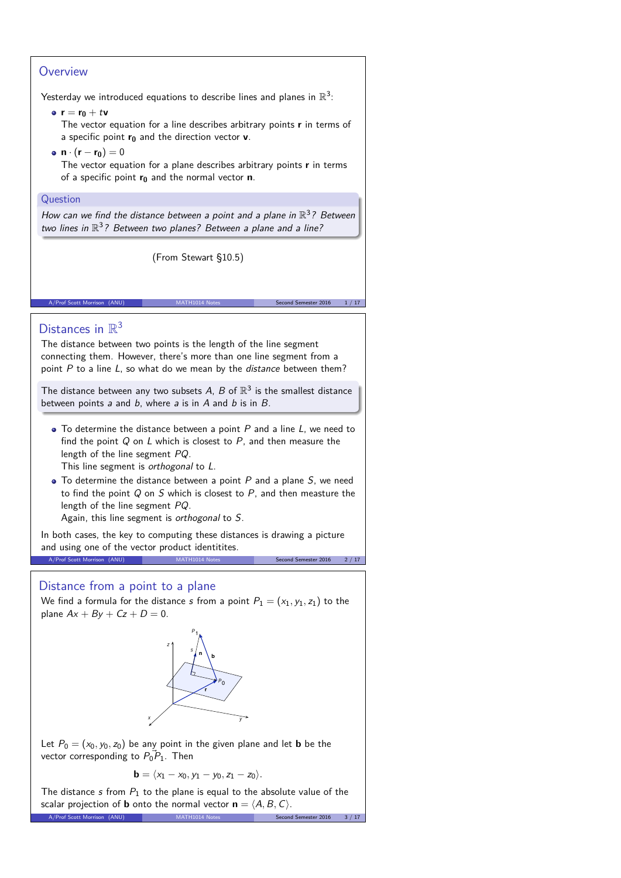# **Overview**

Yesterday we introduced equations to describe lines and planes in  $\mathbb{R}^3$ :

#### **e**  $r = r_0 + tv$

The vector equation for a line describes arbitrary points **r** in terms of a specific point **r<sup>0</sup>** and the direction vector **v**.

**•**  $n \cdot (r - r_0) = 0$ 

The vector equation for a plane describes arbitrary points **r** in terms of a specific point **r<sup>0</sup>** and the normal vector **n**.

#### Question

How can we find the distance between a point and a plane in  $\mathbb{R}^3$ ? Between two lines in  $\mathbb{R}^3$ ? Between two planes? Between a plane and a line?

(From Stewart §10.5)

A/Prof Scott Morrison (ANU) MATH1014 Notes Second Semester 2016 1/17 من المسابق المسابق المسابق المسابق المسابق

# Distances in  $\mathbb{R}^3$

The distance between two points is the length of the line segment connecting them. However, there's more than one line segment from a point  $P$  to a line  $L$ , so what do we mean by the *distance* between them?

The distance between any two subsets A, B of  $\mathbb{R}^3$  is the smallest distance between points  $a$  and  $b$ , where  $a$  is in  $A$  and  $b$  is in  $B$ .

 $\bullet$  To determine the distance between a point  $P$  and a line  $L$ , we need to find the point  $Q$  on  $L$  which is closest to  $P$ , and then measure the length of the line segment PQ.

This line segment is orthogonal to L.

 $\bullet$  To determine the distance between a point  $P$  and a plane  $S$ , we need to find the point  $Q$  on  $S$  which is closest to  $P$ , and then measture the length of the line segment PQ.

Again, this line segment is orthogonal to S.

In both cases, the key to computing these distances is drawing a picture and using one of the vector product identitites. A/Prof Scott Morrison (ANU) MATH1014 Notes Second Semester 2016 2/17

## Distance from a point to a plane

We find a formula for the distance s from a point  $P_1 = (x_1, y_1, z_1)$  to the plane  $Ax + By + Cz + D = 0$ .



Let  $P_0 = (x_0, y_0, z_0)$  be any point in the given plane and let **b** be the vector corresponding to  $\vec{P_0 P_1}$ . Then

$$
\mathbf{b}=\langle x_1-x_0,y_1-y_0,z_1-z_0\rangle.
$$

The distance s from  $P_1$  to the plane is equal to the absolute value of the scalar projection of **b** onto the normal vector  $\mathbf{n} = \langle A, B, C \rangle$ .<br>A/Prof Scott Morrison (ANU) MATH1014 Notes Second A/Prof Scott Morrison (ANU)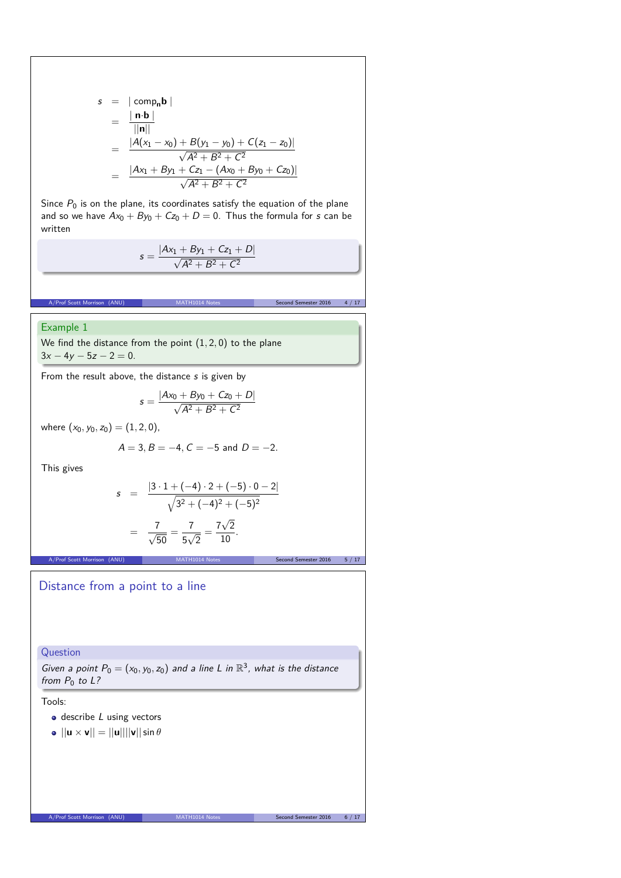$$
s = |\text{comp}_{n} \mathbf{b}|
$$
  
=  $\frac{|\mathbf{n} \cdot \mathbf{b}|}{||\mathbf{n}||}$   
=  $\frac{|A(x_1 - x_0) + B(y_1 - y_0) + C(z_1 - z_0)|}{\sqrt{A^2 + B^2 + C^2}}$   
=  $\frac{|Ax_1 + By_1 + Cz_1 - (Ax_0 + By_0 + Cz_0)|}{\sqrt{A^2 + B^2 + C^2}}$ 

Since  $P_0$  is on the plane, its coordinates satisfy the equation of the plane and so we have  $Ax_0 + By_0 + Cz_0 + D = 0$ . Thus the formula for s can be written

A/Prof Scott Morrison (ANU) MATH1014 Notes Second Semester 2016

$$
s = \frac{|Ax_1 + By_1 + Cz_1 + D|}{\sqrt{A^2 + B^2 + C^2}}
$$

#### Example 1

We find the distance from the point (1*,* 2*,* 0) to the plane  $3x - 4y - 5z - 2 = 0$ .

From the result above, the distance s is given by

$$
s = \frac{|Ax_0 + By_0 + Cz_0 + D|}{\sqrt{A^2 + B^2 + C^2}}
$$

where  $(x_0, y_0, z_0) = (1, 2, 0)$ ,

$$
A = 3, B = -4, C = -5
$$
 and  $D = -2$ .

This gives

$$
s = \frac{|3 \cdot 1 + (-4) \cdot 2 + (-5) \cdot 0 - 2|}{\sqrt{3^2 + (-4)^2 + (-5)^2}}
$$

$$
= \frac{7}{\sqrt{50}} = \frac{7}{5\sqrt{2}} = \frac{7\sqrt{2}}{10}.
$$

MATH1014 Notes Second Semester 2016 5 / 17

### Distance from a point to a line

Question

Given a point  $P_0 = (x_0, y_0, z_0)$  and a line L in  $\mathbb{R}^3$ , what is the distance from  $P_0$  to  $L$ ?

Tools:

- $\bullet$  describe *L* using vectors
- $\bullet$   $||\mathbf{u} \times \mathbf{v}|| = ||\mathbf{u}|| ||\mathbf{v}|| \sin \theta$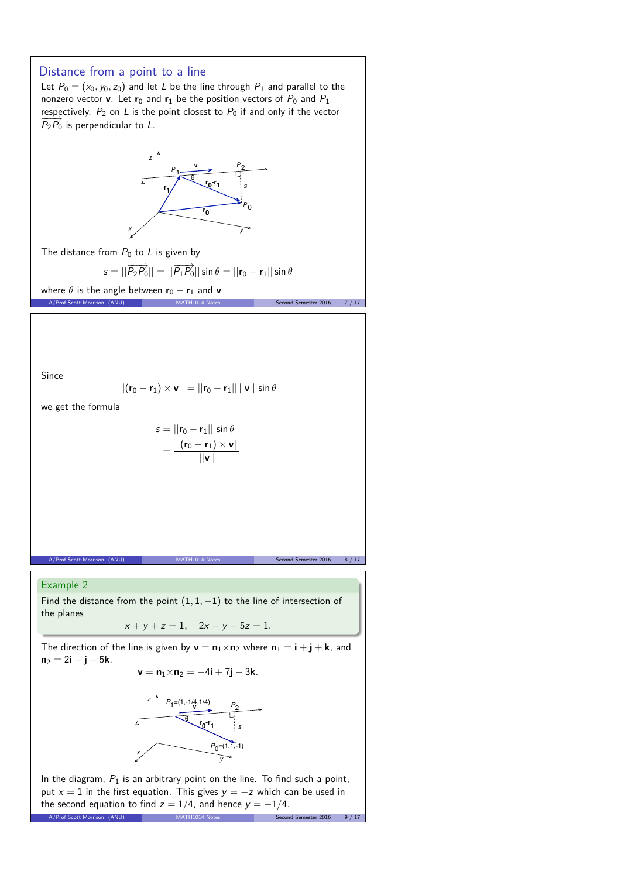

the second equation to find  $z = 1/4$ , and hence  $y = -1/4$ .<br>A/Prof Scott Morrison (ANU)<br>Secon A/Prof Scott Morrison (ANU)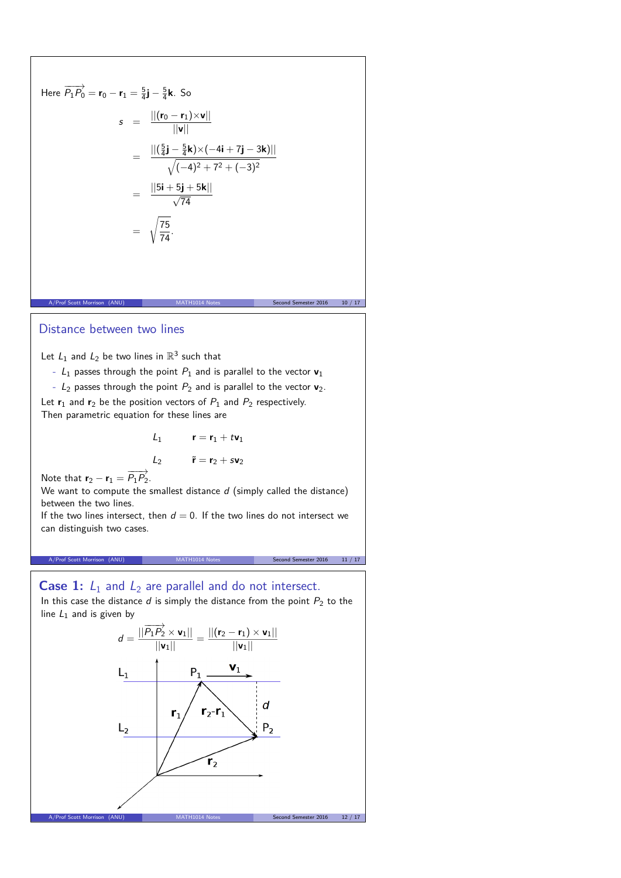Here 
$$
\overrightarrow{P_1P_0} = \mathbf{r}_0 - \mathbf{r}_1 = \frac{5}{4}\mathbf{j} - \frac{5}{4}\mathbf{k}
$$
. So  
\n
$$
s = \frac{||(\mathbf{r}_0 - \mathbf{r}_1) \times \mathbf{v}||}{||\mathbf{v}||}
$$
\n
$$
= \frac{||(\frac{5}{4}\mathbf{j} - \frac{5}{4}\mathbf{k}) \times (-4\mathbf{i} + 7\mathbf{j} - 3\mathbf{k})||}{\sqrt{(-4)^2 + 7^2 + (-3)^2}}
$$
\n
$$
= \frac{||5\mathbf{i} + 5\mathbf{j} + 5\mathbf{k}||}{\sqrt{74}}
$$
\n
$$
= \sqrt{\frac{75}{74}}.
$$

#### Distance between two lines

Let  $L_1$  and  $L_2$  be two lines in  $\mathbb{R}^3$  such that

-  $L_1$  passes through the point  $P_1$  and is parallel to the vector  $v_1$ 

A/Prof Scott Morrison (ANU) MATH1014 Notes Second Semester 2016 10 / 17

-  $L_2$  passes through the point  $P_2$  and is parallel to the vector  $v_2$ .

Let  $r_1$  and  $r_2$  be the position vectors of  $P_1$  and  $P_2$  respectively. Then parametric equation for these lines are

$$
l_1 \qquad \mathbf{r} = \mathbf{r}_1 + t \mathbf{v}_1
$$

$$
l_2 \qquad \tilde{\mathbf{r}} = \mathbf{r}_2 + s \mathbf{v}_2
$$

Note that  $\mathbf{r}_2 - \mathbf{r}_1 = \overrightarrow{P_1 P_2}$ .

We want to compute the smallest distance  $d$  (simply called the distance) between the two lines.

If the two lines intersect, then  $d = 0$ . If the two lines do not intersect we can distinguish two cases.

#### A/Prof Scott Morrison (ANU) MATH1014 Notes Second Semester 2016 11 / 17

### **Case 1:**  $L_1$  and  $L_2$  are parallel and do not intersect.

In this case the distance  $d$  is simply the distance from the point  $P_2$  to the line  $L_1$  and is given by

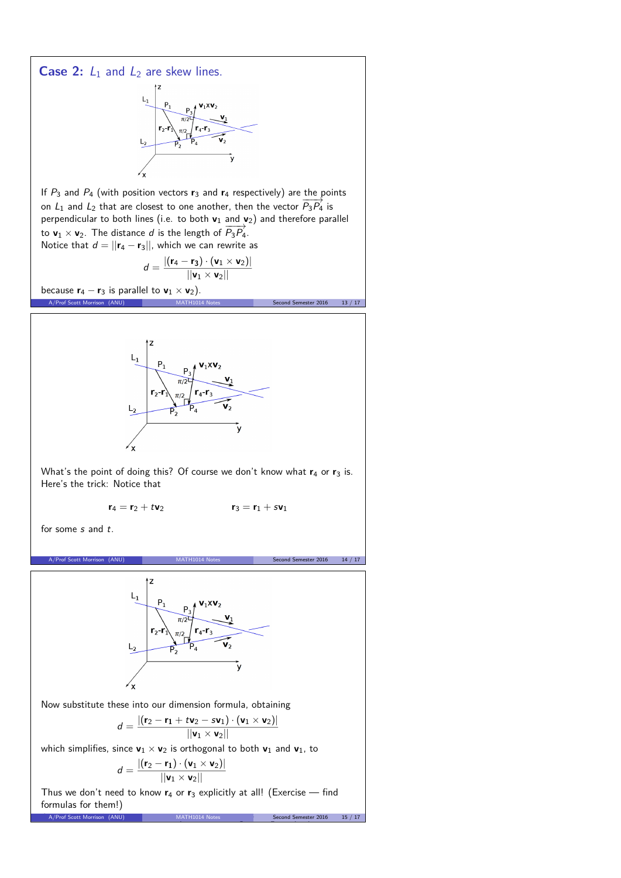